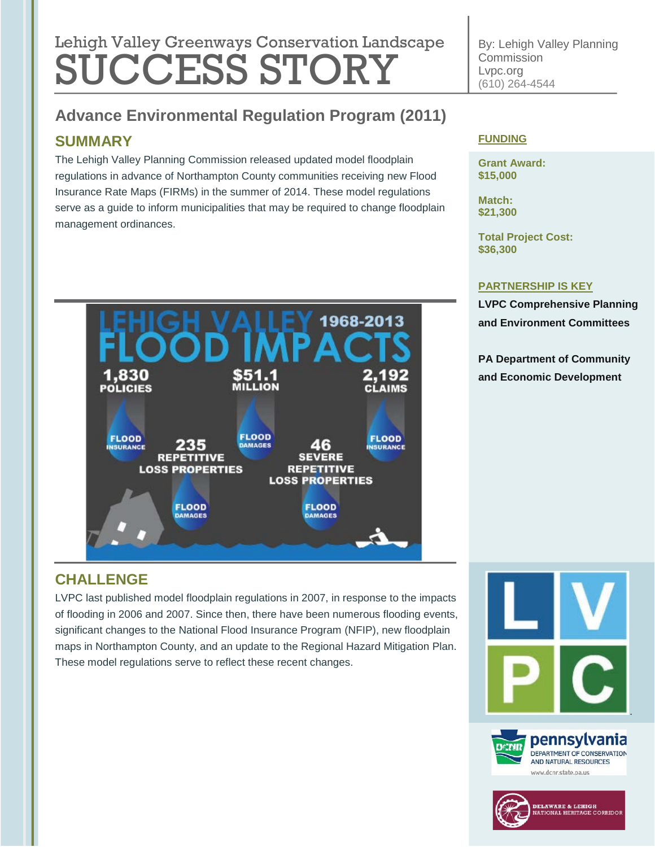# Lehigh Valley Greenways Conservation Landscape SUCCESS STORY

## **Advance Environmental Regulation Program (2011)**

## **SUMMARY**

The Lehigh Valley Planning Commission released updated model floodplain regulations in advance of Northampton County communities receiving new Flood Insurance Rate Maps (FIRMs) in the summer of 2014. These model regulations serve as a guide to inform municipalities that may be required to change floodplain management ordinances.



By: Lehigh Valley Planning **Commission** Lvpc.org (610) 264-4544

#### **FUNDING**

**Grant Award: \$15,000**

**Match: \$21,300**

**Total Project Cost: \$36,300**

#### **PARTNERSHIP IS KEY**

**LVPC Comprehensive Planning and Environment Committees**

**PA Department of Community and Economic Development**

## **CHALLENGE**

LVPC last published model floodplain regulations in 2007, in response to the impacts of flooding in 2006 and 2007. Since then, there have been numerous flooding events, significant changes to the National Flood Insurance Program (NFIP), new floodplain maps in Northampton County, and an update to the Regional Hazard Mitigation Plan. These model regulations serve to reflect these recent changes.





DEPARTMENT OF CONSERVATION AND NATURAL RESOURCES www.dcnr.state.pa.us